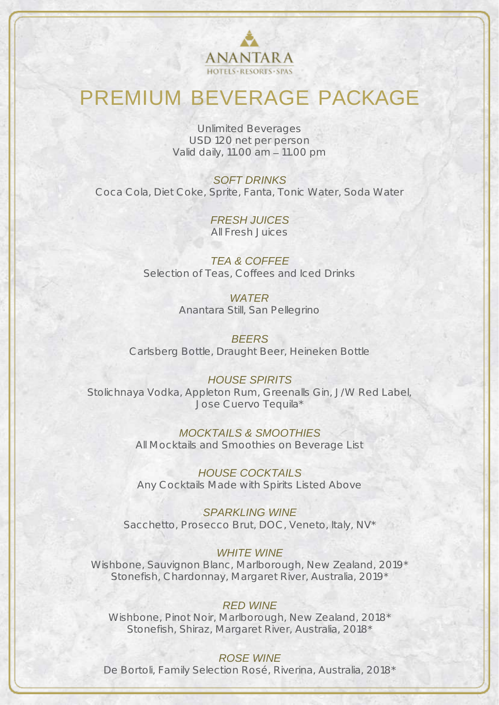

# PREMIUM BEVERAGE PACKAGE

Unlimited Beverages USD 120 net per person Valid daily, 11.00 am - 11.00 pm

*SOFT DRINKS* Coca Cola, Diet Coke, Sprite, Fanta, Tonic Water, Soda Water

> *FRESH JUICES* All Fresh Juices

*TEA & COFFEE* Selection of Teas, Coffees and Iced Drinks

> *WATER* Anantara Still, San Pellegrino

*BEERS* Carlsberg Bottle, Draught Beer, Heineken Bottle

### *HOUSE SPIRITS* Stolichnaya Vodka, Appleton Rum, Greenalls Gin, J/W Red Label, Jose Cuervo Tequila\*

*MOCKTAILS & SMOOTHIES* All Mocktails and Smoothies on Beverage List

*HOUSE COCKTAILS* Any Cocktails Made with Spirits Listed Above

*SPARKLING WINE* Sacchetto, Prosecco Brut, DOC, Veneto, Italy, NV\*

### *WHITE WINE*

Wishbone, Sauvignon Blanc, Marlborough, New Zealand, 2019\* Stonefish, Chardonnay, Margaret River, Australia, 2019\*

### *RED WINE*

Wishbone, Pinot Noir, Marlborough, New Zealand, 2018\* Stonefish, Shiraz, Margaret River, Australia, 2018\*

### *ROSE WINE*

De Bortoli, Family Selection Rosé, Riverina, Australia, 2018\*